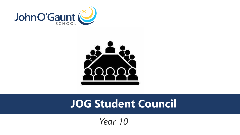



#### **JOG Student Council**

*Year 10*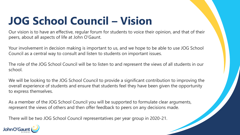## **JOG School Council – Vision**

Our vision is to have an effective, regular forum for students to voice their opinion, and that of their peers, about all aspects of life at John O'Gaunt.

Your involvement in decision making is important to us, and we hope to be able to use JOG School Council as a central way to consult and listen to students on important issues.

The role of the JOG School Council will be to listen to and represent the views of all students in our school.

We will be looking to the JOG School Council to provide a significant contribution to improving the overall experience of students and ensure that students feel they have been given the opportunity to express themselves.

As a member of the JOG School Council you will be supported to formulate clear arguments, represent the views of others and then offer feedback to peers on any decisions made.

There will be two JOG School Council representatives per year group in 2020-21.

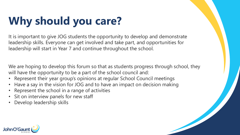# **Why should you care?**

It is important to give JOG students the opportunity to develop and demonstrate leadership skills. Everyone can get involved and take part, and opportunities for leadership will start in Year 7 and continue throughout the school.

We are hoping to develop this forum so that as students progress through school, they will have the opportunity to be a part of the school council and:

- Represent their year group's opinions at regular School Council meetings
- Have a say in the vision for JOG and to have an impact on decision making
- Represent the school in a range of activities
- Sit on interview panels for new staff
- Develop leadership skills

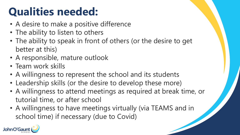## **Qualities needed:**

- A desire to make a positive difference
- The ability to listen to others
- The ability to speak in front of others (or the desire to get better at this)
- A responsible, mature outlook
- Team work skills
- A willingness to represent the school and its students
- Leadership skills (or the desire to develop these more)
- A willingness to attend meetings as required at break time, or tutorial time, or after school
- A willingness to have meetings virtually (via TEAMS and in school time) if necessary (due to Covid)